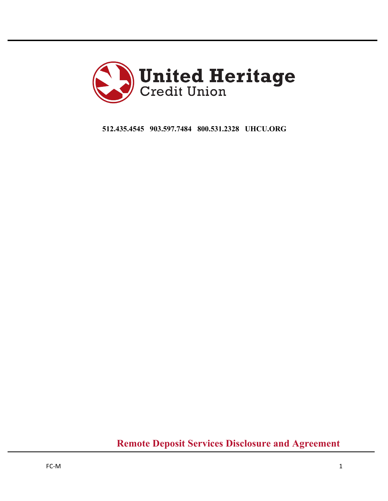

**512.435.4545 903.597.7484 800.531.2328 UHCU.ORG** 

**Remote Deposit Services Disclosure and Agreement**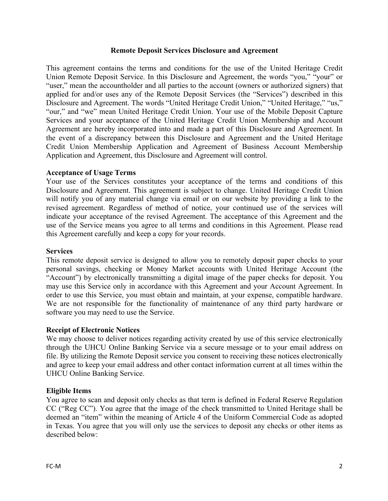#### **Remote Deposit Services Disclosure and Agreement**

This agreement contains the terms and conditions for the use of the United Heritage Credit Union Remote Deposit Service. In this Disclosure and Agreement, the words "you," "your" or "user," mean the accountholder and all parties to the account (owners or authorized signers) that applied for and/or uses any of the Remote Deposit Services (the "Services") described in this Disclosure and Agreement. The words "United Heritage Credit Union," "United Heritage," "us," "our," and "we" mean United Heritage Credit Union. Your use of the Mobile Deposit Capture Services and your acceptance of the United Heritage Credit Union Membership and Account Agreement are hereby incorporated into and made a part of this Disclosure and Agreement. In the event of a discrepancy between this Disclosure and Agreement and the United Heritage Credit Union Membership Application and Agreement of Business Account Membership Application and Agreement, this Disclosure and Agreement will control.

## **Acceptance of Usage Terms**

Your use of the Services constitutes your acceptance of the terms and conditions of this Disclosure and Agreement. This agreement is subject to change. United Heritage Credit Union will notify you of any material change via email or on our website by providing a link to the revised agreement. Regardless of method of notice, your continued use of the services will indicate your acceptance of the revised Agreement. The acceptance of this Agreement and the use of the Service means you agree to all terms and conditions in this Agreement. Please read this Agreement carefully and keep a copy for your records.

#### **Services**

This remote deposit service is designed to allow you to remotely deposit paper checks to your personal savings, checking or Money Market accounts with United Heritage Account (the "Account") by electronically transmitting a digital image of the paper checks for deposit. You may use this Service only in accordance with this Agreement and your Account Agreement. In order to use this Service, you must obtain and maintain, at your expense, compatible hardware. We are not responsible for the functionality of maintenance of any third party hardware or software you may need to use the Service.

## **Receipt of Electronic Notices**

We may choose to deliver notices regarding activity created by use of this service electronically through the UHCU Online Banking Service via a secure message or to your email address on file. By utilizing the Remote Deposit service you consent to receiving these notices electronically and agree to keep your email address and other contact information current at all times within the UHCU Online Banking Service.

## **Eligible Items**

You agree to scan and deposit only checks as that term is defined in Federal Reserve Regulation CC ("Reg CC"). You agree that the image of the check transmitted to United Heritage shall be deemed an "item" within the meaning of Article 4 of the Uniform Commercial Code as adopted in Texas. You agree that you will only use the services to deposit any checks or other items as described below: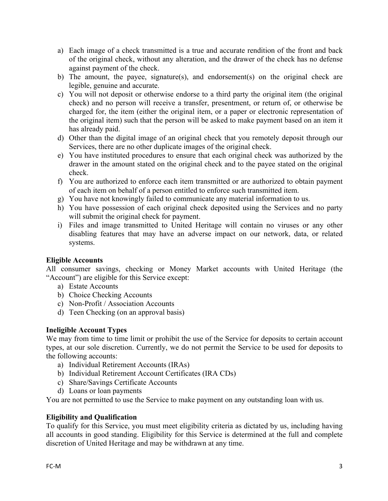- a) Each image of a check transmitted is a true and accurate rendition of the front and back of the original check, without any alteration, and the drawer of the check has no defense against payment of the check.
- b) The amount, the payee, signature(s), and endorsement(s) on the original check are legible, genuine and accurate.
- c) You will not deposit or otherwise endorse to a third party the original item (the original check) and no person will receive a transfer, presentment, or return of, or otherwise be charged for, the item (either the original item, or a paper or electronic representation of the original item) such that the person will be asked to make payment based on an item it has already paid.
- d) Other than the digital image of an original check that you remotely deposit through our Services, there are no other duplicate images of the original check.
- e) You have instituted procedures to ensure that each original check was authorized by the drawer in the amount stated on the original check and to the payee stated on the original check.
- f) You are authorized to enforce each item transmitted or are authorized to obtain payment of each item on behalf of a person entitled to enforce such transmitted item.
- g) You have not knowingly failed to communicate any material information to us.
- h) You have possession of each original check deposited using the Services and no party will submit the original check for payment.
- i) Files and image transmitted to United Heritage will contain no viruses or any other disabling features that may have an adverse impact on our network, data, or related systems.

# **Eligible Accounts**

All consumer savings, checking or Money Market accounts with United Heritage (the "Account") are eligible for this Service except:

- a) Estate Accounts
- b) Choice Checking Accounts
- c) Non-Profit / Association Accounts
- d) Teen Checking (on an approval basis)

# **Ineligible Account Types**

We may from time to time limit or prohibit the use of the Service for deposits to certain account types, at our sole discretion. Currently, we do not permit the Service to be used for deposits to the following accounts:

- a) Individual Retirement Accounts (IRAs)
- b) Individual Retirement Account Certificates (IRA CDs)
- c) Share/Savings Certificate Accounts
- d) Loans or loan payments

You are not permitted to use the Service to make payment on any outstanding loan with us.

# **Eligibility and Qualification**

To qualify for this Service, you must meet eligibility criteria as dictated by us, including having all accounts in good standing. Eligibility for this Service is determined at the full and complete discretion of United Heritage and may be withdrawn at any time.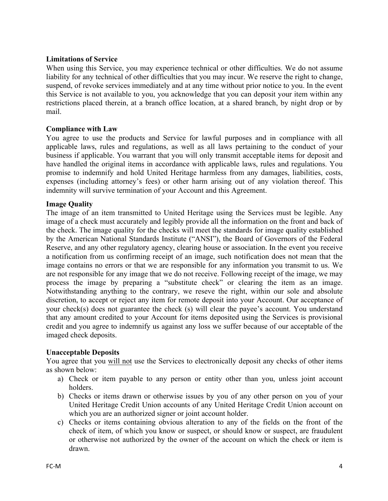# **Limitations of Service**

When using this Service, you may experience technical or other difficulties. We do not assume liability for any technical of other difficulties that you may incur. We reserve the right to change, suspend, of revoke services immediately and at any time without prior notice to you. In the event this Service is not available to you, you acknowledge that you can deposit your item within any restrictions placed therein, at a branch office location, at a shared branch, by night drop or by mail.

# **Compliance with Law**

You agree to use the products and Service for lawful purposes and in compliance with all applicable laws, rules and regulations, as well as all laws pertaining to the conduct of your business if applicable. You warrant that you will only transmit acceptable items for deposit and have handled the original items in accordance with applicable laws, rules and regulations. You promise to indemnify and hold United Heritage harmless from any damages, liabilities, costs, expenses (including attorney's fees) or other harm arising out of any violation thereof. This indemnity will survive termination of your Account and this Agreement.

# **Image Quality**

The image of an item transmitted to United Heritage using the Services must be legible. Any image of a check must accurately and legibly provide all the information on the front and back of the check. The image quality for the checks will meet the standards for image quality established by the American National Standards Institute ("ANSI"), the Board of Governors of the Federal Reserve, and any other regulatory agency, clearing house or association. In the event you receive a notification from us confirming receipt of an image, such notification does not mean that the image contains no errors or that we are responsible for any information you transmit to us. We are not responsible for any image that we do not receive. Following receipt of the image, we may process the image by preparing a "substitute check" or clearing the item as an image. Notwithstanding anything to the contrary, we reseve the right, within our sole and absolute discretion, to accept or reject any item for remote deposit into your Account. Our acceptance of your check(s) does not guarantee the check (s) will clear the payee's account. You understand that any amount credited to your Account for items deposited using the Services is provisional credit and you agree to indemnify us against any loss we suffer because of our acceptable of the imaged check deposits.

# **Unacceptable Deposits**

You agree that you will not use the Services to electronically deposit any checks of other items as shown below:

- a) Check or item payable to any person or entity other than you, unless joint account holders.
- b) Checks or items drawn or otherwise issues by you of any other person on you of your United Heritage Credit Union accounts of any United Heritage Credit Union account on which you are an authorized signer or joint account holder.
- c) Checks or items containing obvious alteration to any of the fields on the front of the check of item, of which you know or suspect, or should know or suspect, are fraudulent or otherwise not authorized by the owner of the account on which the check or item is drawn.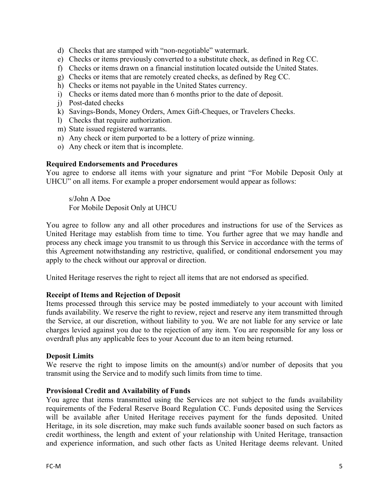- d) Checks that are stamped with "non-negotiable" watermark.
- e) Checks or items previously converted to a substitute check, as defined in Reg CC.
- f) Checks or items drawn on a financial institution located outside the United States.
- g) Checks or items that are remotely created checks, as defined by Reg CC.
- h) Checks or items not payable in the United States currency.
- i) Checks or items dated more than 6 months prior to the date of deposit.
- j) Post-dated checks
- k) Savings-Bonds, Money Orders, Amex Gift-Cheques, or Travelers Checks.
- l) Checks that require authorization.
- m) State issued registered warrants.
- n) Any check or item purported to be a lottery of prize winning.
- o) Any check or item that is incomplete.

## **Required Endorsements and Procedures**

You agree to endorse all items with your signature and print "For Mobile Deposit Only at UHCU" on all items. For example a proper endorsement would appear as follows:

s/John A Doe For Mobile Deposit Only at UHCU

You agree to follow any and all other procedures and instructions for use of the Services as United Heritage may establish from time to time. You further agree that we may handle and process any check image you transmit to us through this Service in accordance with the terms of this Agreement notwithstanding any restrictive, qualified, or conditional endorsement you may apply to the check without our approval or direction.

United Heritage reserves the right to reject all items that are not endorsed as specified.

## **Receipt of Items and Rejection of Deposit**

Items processed through this service may be posted immediately to your account with limited funds availability. We reserve the right to review, reject and reserve any item transmitted through the Service, at our discretion, without liability to you. We are not liable for any service or late charges levied against you due to the rejection of any item. You are responsible for any loss or overdraft plus any applicable fees to your Account due to an item being returned.

## **Deposit Limits**

We reserve the right to impose limits on the amount(s) and/or number of deposits that you transmit using the Service and to modify such limits from time to time.

## **Provisional Credit and Availability of Funds**

You agree that items transmitted using the Services are not subject to the funds availability requirements of the Federal Reserve Board Regulation CC. Funds deposited using the Services will be available after United Heritage receives payment for the funds deposited. United Heritage, in its sole discretion, may make such funds available sooner based on such factors as credit worthiness, the length and extent of your relationship with United Heritage, transaction and experience information, and such other facts as United Heritage deems relevant. United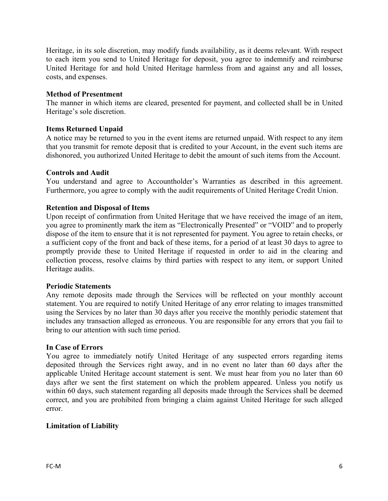Heritage, in its sole discretion, may modify funds availability, as it deems relevant. With respect to each item you send to United Heritage for deposit, you agree to indemnify and reimburse United Heritage for and hold United Heritage harmless from and against any and all losses, costs, and expenses.

## **Method of Presentment**

The manner in which items are cleared, presented for payment, and collected shall be in United Heritage's sole discretion.

## **Items Returned Unpaid**

A notice may be returned to you in the event items are returned unpaid. With respect to any item that you transmit for remote deposit that is credited to your Account, in the event such items are dishonored, you authorized United Heritage to debit the amount of such items from the Account.

#### **Controls and Audit**

You understand and agree to Accountholder's Warranties as described in this agreement. Furthermore, you agree to comply with the audit requirements of United Heritage Credit Union.

#### **Retention and Disposal of Items**

Upon receipt of confirmation from United Heritage that we have received the image of an item, you agree to prominently mark the item as "Electronically Presented" or "VOID" and to properly dispose of the item to ensure that it is not represented for payment. You agree to retain checks, or a sufficient copy of the front and back of these items, for a period of at least 30 days to agree to promptly provide these to United Heritage if requested in order to aid in the clearing and collection process, resolve claims by third parties with respect to any item, or support United Heritage audits.

#### **Periodic Statements**

Any remote deposits made through the Services will be reflected on your monthly account statement. You are required to notify United Heritage of any error relating to images transmitted using the Services by no later than 30 days after you receive the monthly periodic statement that includes any transaction alleged as erroneous. You are responsible for any errors that you fail to bring to our attention with such time period.

#### **In Case of Errors**

You agree to immediately notify United Heritage of any suspected errors regarding items deposited through the Services right away, and in no event no later than 60 days after the applicable United Heritage account statement is sent. We must hear from you no later than 60 days after we sent the first statement on which the problem appeared. Unless you notify us within 60 days, such statement regarding all deposits made through the Services shall be deemed correct, and you are prohibited from bringing a claim against United Heritage for such alleged error.

## **Limitation of Liability**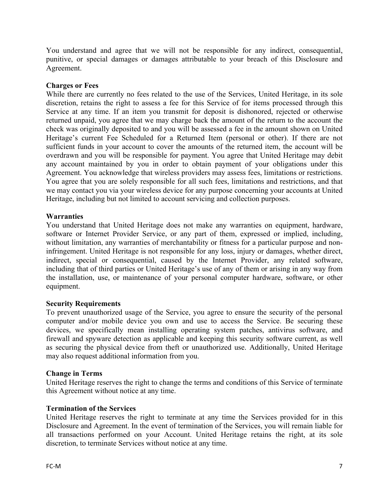You understand and agree that we will not be responsible for any indirect, consequential, punitive, or special damages or damages attributable to your breach of this Disclosure and Agreement.

# **Charges or Fees**

While there are currently no fees related to the use of the Services, United Heritage, in its sole discretion, retains the right to assess a fee for this Service of for items processed through this Service at any time. If an item you transmit for deposit is dishonored, rejected or otherwise returned unpaid, you agree that we may charge back the amount of the return to the account the check was originally deposited to and you will be assessed a fee in the amount shown on United Heritage's current Fee Scheduled for a Returned Item (personal or other). If there are not sufficient funds in your account to cover the amounts of the returned item, the account will be overdrawn and you will be responsible for payment. You agree that United Heritage may debit any account maintained by you in order to obtain payment of your obligations under this Agreement. You acknowledge that wireless providers may assess fees, limitations or restrictions. You agree that you are solely responsible for all such fees, limitations and restrictions, and that we may contact you via your wireless device for any purpose concerning your accounts at United Heritage, including but not limited to account servicing and collection purposes.

# **Warranties**

You understand that United Heritage does not make any warranties on equipment, hardware, software or Internet Provider Service, or any part of them, expressed or implied, including, without limitation, any warranties of merchantability or fitness for a particular purpose and noninfringement. United Heritage is not responsible for any loss, injury or damages, whether direct, indirect, special or consequential, caused by the Internet Provider, any related software, including that of third parties or United Heritage's use of any of them or arising in any way from the installation, use, or maintenance of your personal computer hardware, software, or other equipment.

## **Security Requirements**

To prevent unauthorized usage of the Service, you agree to ensure the security of the personal computer and/or mobile device you own and use to access the Service. Be securing these devices, we specifically mean installing operating system patches, antivirus software, and firewall and spyware detection as applicable and keeping this security software current, as well as securing the physical device from theft or unauthorized use. Additionally, United Heritage may also request additional information from you.

# **Change in Terms**

United Heritage reserves the right to change the terms and conditions of this Service of terminate this Agreement without notice at any time.

# **Termination of the Services**

United Heritage reserves the right to terminate at any time the Services provided for in this Disclosure and Agreement. In the event of termination of the Services, you will remain liable for all transactions performed on your Account. United Heritage retains the right, at its sole discretion, to terminate Services without notice at any time.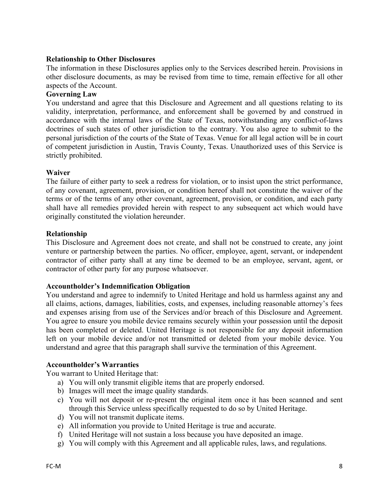# **Relationship to Other Disclosures**

The information in these Disclosures applies only to the Services described herein. Provisions in other disclosure documents, as may be revised from time to time, remain effective for all other aspects of the Account.

# **Governing Law**

You understand and agree that this Disclosure and Agreement and all questions relating to its validity, interpretation, performance, and enforcement shall be governed by and construed in accordance with the internal laws of the State of Texas, notwithstanding any conflict-of-laws doctrines of such states of other jurisdiction to the contrary. You also agree to submit to the personal jurisdiction of the courts of the State of Texas. Venue for all legal action will be in court of competent jurisdiction in Austin, Travis County, Texas. Unauthorized uses of this Service is strictly prohibited.

## **Waiver**

The failure of either party to seek a redress for violation, or to insist upon the strict performance, of any covenant, agreement, provision, or condition hereof shall not constitute the waiver of the terms or of the terms of any other covenant, agreement, provision, or condition, and each party shall have all remedies provided herein with respect to any subsequent act which would have originally constituted the violation hereunder.

# **Relationship**

This Disclosure and Agreement does not create, and shall not be construed to create, any joint venture or partnership between the parties. No officer, employee, agent, servant, or independent contractor of either party shall at any time be deemed to be an employee, servant, agent, or contractor of other party for any purpose whatsoever.

## **Accountholder's Indemnification Obligation**

You understand and agree to indemnify to United Heritage and hold us harmless against any and all claims, actions, damages, liabilities, costs, and expenses, including reasonable attorney's fees and expenses arising from use of the Services and/or breach of this Disclosure and Agreement. You agree to ensure you mobile device remains securely within your possession until the deposit has been completed or deleted. United Heritage is not responsible for any deposit information left on your mobile device and/or not transmitted or deleted from your mobile device. You understand and agree that this paragraph shall survive the termination of this Agreement.

## **Accountholder's Warranties**

You warrant to United Heritage that:

- a) You will only transmit eligible items that are properly endorsed.
- b) Images will meet the image quality standards.
- c) You will not deposit or re-present the original item once it has been scanned and sent through this Service unless specifically requested to do so by United Heritage.
- d) You will not transmit duplicate items.
- e) All information you provide to United Heritage is true and accurate.
- f) United Heritage will not sustain a loss because you have deposited an image.
- g) You will comply with this Agreement and all applicable rules, laws, and regulations.